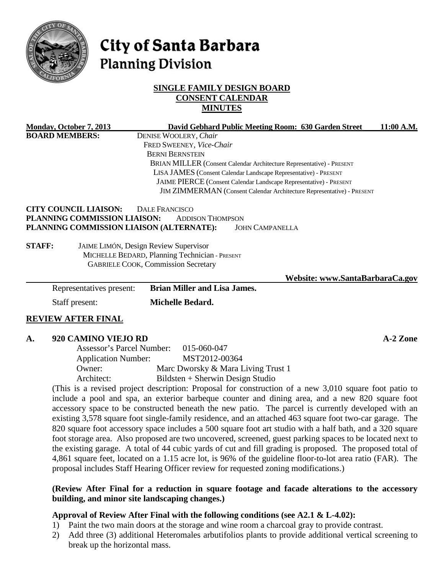

# City of Santa Barbara **Planning Division**

# **SINGLE FAMILY DESIGN BOARD CONSENT CALENDAR MINUTES**

| Monday, October 7, 2013                  |                                                | David Gebhard Public Meeting Room: 630 Garden Street                   | 11:00 A.M. |  |
|------------------------------------------|------------------------------------------------|------------------------------------------------------------------------|------------|--|
| <b>BOARD MEMBERS:</b>                    |                                                | DENISE WOOLERY, Chair                                                  |            |  |
|                                          |                                                | FRED SWEENEY, Vice-Chair                                               |            |  |
|                                          |                                                | <b>BERNI BERNSTEIN</b>                                                 |            |  |
|                                          |                                                | BRIAN MILLER (Consent Calendar Architecture Representative) - PRESENT  |            |  |
|                                          |                                                | LISA JAMES (Consent Calendar Landscape Representative) - PRESENT       |            |  |
|                                          |                                                | JAIME PIERCE (Consent Calendar Landscape Representative) - PRESENT     |            |  |
|                                          |                                                | JIM ZIMMERMAN (Consent Calendar Architecture Representative) - PRESENT |            |  |
| <b>CITY COUNCIL LIAISON:</b>             | <b>DALE FRANCISCO</b>                          |                                                                        |            |  |
| PLANNING COMMISSION LIAISON:             |                                                | <b>ADDISON THOMPSON</b>                                                |            |  |
| PLANNING COMMISSION LIAISON (ALTERNATE): |                                                | <b>JOHN CAMPANELLA</b>                                                 |            |  |
| <b>STAFF:</b>                            | JAIME LIMÓN, Design Review Supervisor          |                                                                        |            |  |
|                                          | MICHELLE BEDARD, Planning Technician - PRESENT |                                                                        |            |  |
|                                          | <b>GABRIELE COOK, Commission Secretary</b>     |                                                                        |            |  |
|                                          |                                                | Website: www.SantaBarbaraCa.gov                                        |            |  |
| Representatives present:                 |                                                | <b>Brian Miller and Lisa James.</b>                                    |            |  |
| Staff present:                           |                                                | Michelle Bedard.                                                       |            |  |
| <b>REVIEW AFTER FINAL</b>                |                                                |                                                                        |            |  |
| 920 CAMINO VIEJO RD<br>A.                |                                                |                                                                        | $A-2$ Zone |  |
|                                          | Assessor's Parcel Number:                      | 015-060-047                                                            |            |  |
| <b>Application Number:</b>               |                                                | MST2012-00364                                                          |            |  |
|                                          |                                                |                                                                        |            |  |

Owner: Marc Dworsky & Mara Living Trust 1 Architect: Bildsten + Sherwin Design Studio (This is a revised project description: Proposal for construction of a new 3,010 square foot patio to include a pool and spa, an exterior barbeque counter and dining area, and a new 820 square foot accessory space to be constructed beneath the new patio. The parcel is currently developed with an

existing 3,578 square foot single-family residence, and an attached 463 square foot two-car garage. The 820 square foot accessory space includes a 500 square foot art studio with a half bath, and a 320 square foot storage area. Also proposed are two uncovered, screened, guest parking spaces to be located next to the existing garage. A total of 44 cubic yards of cut and fill grading is proposed. The proposed total of 4,861 square feet, located on a 1.15 acre lot, is 96% of the guideline floor-to-lot area ratio (FAR). The proposal includes Staff Hearing Officer review for requested zoning modifications.)

### **(Review After Final for a reduction in square footage and facade alterations to the accessory building, and minor site landscaping changes.)**

# **Approval of Review After Final with the following conditions (see A2.1 & L-4.02):**

- 1) Paint the two main doors at the storage and wine room a charcoal gray to provide contrast.
- 2) Add three (3) additional Heteromales arbutifolios plants to provide additional vertical screening to break up the horizontal mass.